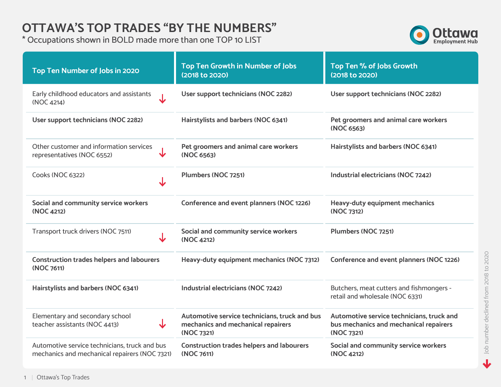#### **OTTAWA'S TOP TRADES "BY THE NUMBERS"**

\* Occupations shown in BOLD made more than one TOP 10 LIST



| Top Ten Number of Jobs in 2020                                                                 | Top Ten Growth in Number of Jobs<br>(2018 to 2020)                                                | Top Ten % of Jobs Growth<br>(2018 to 2020)                                                        |
|------------------------------------------------------------------------------------------------|---------------------------------------------------------------------------------------------------|---------------------------------------------------------------------------------------------------|
| Early childhood educators and assistants<br>(NOC 4214)                                         | User support technicians (NOC 2282)                                                               | User support technicians (NOC 2282)                                                               |
| User support technicians (NOC 2282)                                                            | Hairstylists and barbers (NOC 6341)                                                               | Pet groomers and animal care workers<br>(NOC 6563)                                                |
| Other customer and information services<br>↓<br>representatives (NOC 6552)                     | Pet groomers and animal care workers<br>(NOC 6563)                                                | Hairstylists and barbers (NOC 6341)                                                               |
| Cooks (NOC 6322)<br>↓                                                                          | Plumbers (NOC 7251)                                                                               | Industrial electricians (NOC 7242)                                                                |
| Social and community service workers<br>(NOC 4212)                                             | Conference and event planners (NOC 1226)                                                          | <b>Heavy-duty equipment mechanics</b><br>(NOC 7312)                                               |
| Transport truck drivers (NOC 7511)<br>↓                                                        | Social and community service workers<br>(NOC 4212)                                                | Plumbers (NOC 7251)                                                                               |
| <b>Construction trades helpers and labourers</b><br>(NOC 7611)                                 | Heavy-duty equipment mechanics (NOC 7312)                                                         | Conference and event planners (NOC 1226)                                                          |
| Hairstylists and barbers (NOC 6341)                                                            | Industrial electricians (NOC 7242)                                                                | Butchers, meat cutters and fishmongers -<br>retail and wholesale (NOC 6331)                       |
| Elementary and secondary school<br>$\overline{\mathbf{v}}$<br>teacher assistants (NOC 4413)    | Automotive service technicians, truck and bus<br>mechanics and mechanical repairers<br>(NOC 7321) | Automotive service technicians, truck and<br>bus mechanics and mechanical repairers<br>(NOC 7321) |
| Automotive service technicians, truck and bus<br>mechanics and mechanical repairers (NOC 7321) | <b>Construction trades helpers and labourers</b><br>(NOC 7611)                                    | Social and community service workers<br>(NOC 4212)                                                |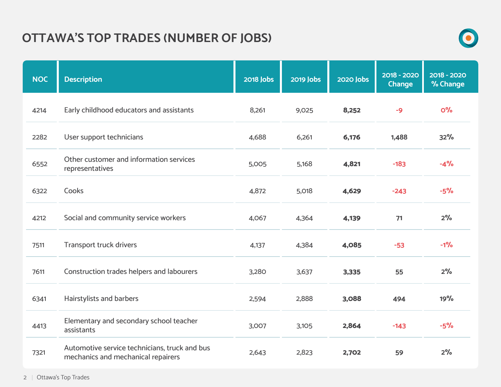# **OTTAWA'S TOP TRADES (NUMBER OF JOBS)**



| <b>NOC</b> | <b>Description</b>                                                                  | <b>2018 Jobs</b> | 2019 Jobs | <b>2020 Jobs</b> | 2018 - 2020<br><b>Change</b> | 2018 - 2020<br>% Change |
|------------|-------------------------------------------------------------------------------------|------------------|-----------|------------------|------------------------------|-------------------------|
| 4214       | Early childhood educators and assistants                                            | 8,261            | 9,025     | 8,252            | $-9$                         | O <sup>o</sup> /o       |
| 2282       | User support technicians                                                            | 4,688            | 6,261     | 6,176            | 1,488                        | 32%                     |
| 6552       | Other customer and information services<br>representatives                          | 5,005            | 5,168     | 4,821            | $-183$                       | $-4%$                   |
| 6322       | Cooks                                                                               | 4,872            | 5,018     | 4,629            | $-243$                       | $-5%$                   |
| 4212       | Social and community service workers                                                | 4,067            | 4,364     | 4,139            | 71                           | 2%                      |
| 7511       | <b>Transport truck drivers</b>                                                      | 4,137            | 4,384     | 4,085            | $-53$                        | $-1%$                   |
| 7611       | Construction trades helpers and labourers                                           | 3,280            | 3,637     | 3,335            | 55                           | 2%                      |
| 6341       | Hairstylists and barbers                                                            | 2,594            | 2,888     | 3,088            | 494                          | 19%                     |
| 4413       | Elementary and secondary school teacher<br>assistants                               | 3,007            | 3,105     | 2,864            | $-143$                       | $-5%$                   |
| 7321       | Automotive service technicians, truck and bus<br>mechanics and mechanical repairers | 2,643            | 2,823     | 2,702            | 59                           | 2%                      |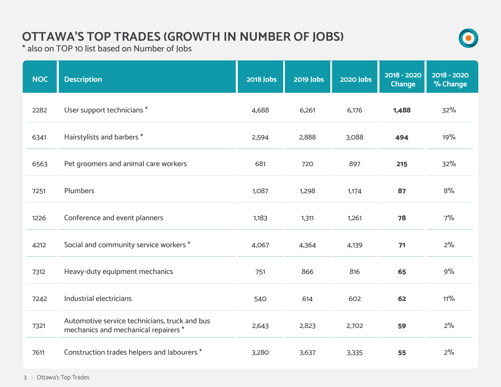#### **OTTAWA'S TOP TRADES (GROWTH IN NUMBER OF JOBS)**



\* also on TOP 10 list based on Number of Jobs

| <b>NOC</b> | <b>Description</b>                                                                    | <b>2018 Jobs</b> | <b>2019 Jobs</b> | <b>2020 Jobs</b> | 2018 - 2020<br><b>Change</b> | 2018 - 2020<br>% Change |
|------------|---------------------------------------------------------------------------------------|------------------|------------------|------------------|------------------------------|-------------------------|
| 2282       | User support technicians *                                                            | 4,688            | 6,261            | 6,176            | 1,488                        | 32%                     |
| 6341       | Hairstylists and barbers *                                                            | 2,594            | 2,888            | 3,088            | 494                          | 19%                     |
| 6563       | Pet groomers and animal care workers                                                  | 681              | 720              | 897              | 215                          | 32%                     |
| 7251       | <b>Plumbers</b>                                                                       | 1,087            | 1,298            | 1,174            | 87                           | 8%                      |
| 1226       | Conference and event planners                                                         | 1,183            | 1,311            | 1,261            | 78                           | 7%                      |
| 4212       | Social and community service workers *                                                | 4,067            | 4,364            | 4,139            | 71                           | 2%                      |
| 7312       | Heavy-duty equipment mechanics                                                        | 751              | 866              | 816              | 65                           | 9%                      |
| 7242       | Industrial electricians                                                               | 540              | 614              | 602              | 62                           | $11\%$                  |
| 7321       | Automotive service technicians, truck and bus<br>mechanics and mechanical repairers * | 2,643            | 2,823            | 2,702            | 59                           | 2%                      |
| 7611       | Construction trades helpers and labourers *                                           | 3,280            | 3,637            | 3,335            | 55                           | 2%                      |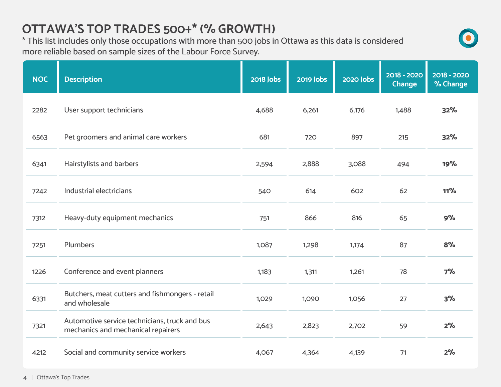## **OTTAWA'S TOP TRADES 500+\* (% GROWTH)**

\* This list includes only those occupations with more than 500 jobs in Ottawa as this data is considered more reliable based on sample sizes of the Labour Force Survey.

| <b>NOC</b> | <b>Description</b>                                                                  | <b>2018 Jobs</b> | <b>2019 Jobs</b> | <b>2020 Jobs</b> | 2018 - 2020<br><b>Change</b> | 2018 - 2020<br>% Change |
|------------|-------------------------------------------------------------------------------------|------------------|------------------|------------------|------------------------------|-------------------------|
| 2282       | User support technicians                                                            | 4,688            | 6,261            | 6,176            | 1,488                        | 32%                     |
| 6563       | Pet groomers and animal care workers                                                | 681              | 720              | 897              | 215                          | 32%                     |
| 6341       | Hairstylists and barbers                                                            | 2,594            | 2,888            | 3,088            | 494                          | 19%                     |
| 7242       | Industrial electricians                                                             | 540              | 614              | 602              | 62                           | 11%                     |
| 7312       | Heavy-duty equipment mechanics                                                      | 751              | 866              | 816              | 65                           | 9%                      |
| 7251       | <b>Plumbers</b>                                                                     | 1,087            | 1,298            | 1,174            | 87                           | 8%                      |
| 1226       | Conference and event planners                                                       | 1,183            | 1,311            | 1,261            | 78                           | 7%                      |
| 6331       | Butchers, meat cutters and fishmongers - retail<br>and wholesale                    | 1,029            | 1,090            | 1,056            | 27                           | 3%                      |
| 7321       | Automotive service technicians, truck and bus<br>mechanics and mechanical repairers | 2,643            | 2,823            | 2,702            | 59                           | 2%                      |
| 4212       | Social and community service workers                                                | 4,067            | 4,364            | 4,139            | 71                           | 2%                      |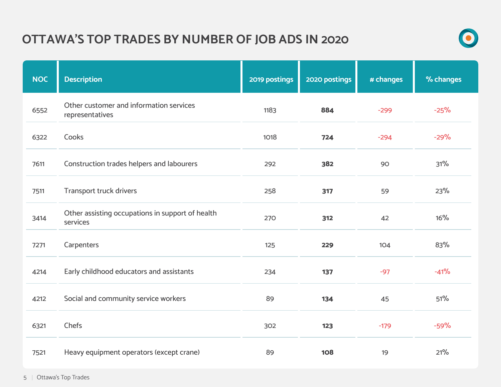## **OTTAWA'S TOP TRADES BY NUMBER OF JOB ADS IN 2020**



| <b>NOC</b> | <b>Description</b>                                           | 2019 postings | 2020 postings | # changes | % changes |
|------------|--------------------------------------------------------------|---------------|---------------|-----------|-----------|
| 6552       | Other customer and information services<br>representatives   | 1183          | 884           | $-299$    | $-25%$    |
| 6322       | Cooks                                                        | 1018          | 724           | $-294$    | $-29%$    |
| 7611       | Construction trades helpers and labourers                    | 292           | 382           | 90        | 31%       |
| 7511       | <b>Transport truck drivers</b>                               | 258           | 317           | 59        | 23%       |
| 3414       | Other assisting occupations in support of health<br>services | 270           | 312           | 42        | 16%       |
| 7271       | Carpenters                                                   | 125           | 229           | 104       | 83%       |
| 4214       | Early childhood educators and assistants                     | 234           | 137           | $-97$     | $-41%$    |
| 4212       | Social and community service workers                         | 89            | 134           | 45        | 51%       |
| 6321       | Chefs                                                        | 302           | 123           | $-179$    | $-59%$    |
| 7521       | Heavy equipment operators (except crane)                     | 89            | <b>108</b>    | 19        | 21%       |